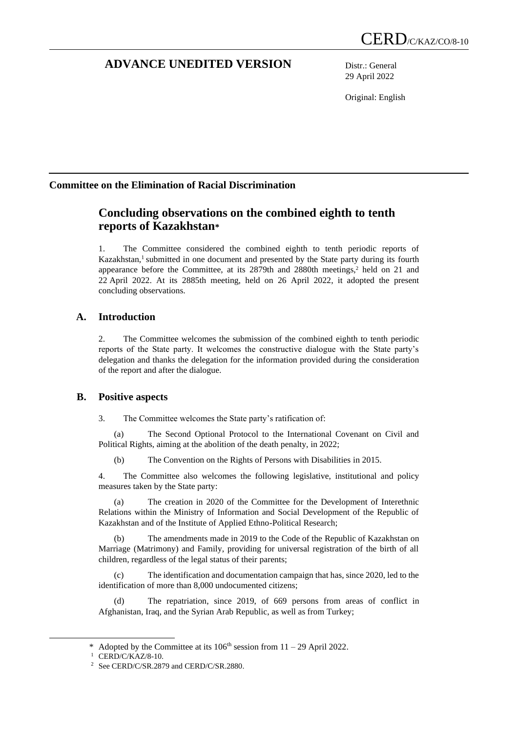# **ADVANCE UNEDITED VERSION** Distr.: General

29 April 2022

Original: English

# **Committee on the Elimination of Racial Discrimination**

# **Concluding observations on the combined eighth to tenth reports of Kazakhstan\***

1. The Committee considered the combined eighth to tenth periodic reports of Kazakhstan,<sup>1</sup> submitted in one document and presented by the State party during its fourth appearance before the Committee, at its 2879th and 2880th meetings,<sup>2</sup> held on 21 and 22 April 2022. At its 2885th meeting, held on 26 April 2022, it adopted the present concluding observations.

# **A. Introduction**

2. The Committee welcomes the submission of the combined eighth to tenth periodic reports of the State party. It welcomes the constructive dialogue with the State party's delegation and thanks the delegation for the information provided during the consideration of the report and after the dialogue.

# **B. Positive aspects**

3. The Committee welcomes the State party's ratification of:

(a) The Second Optional Protocol to the International Covenant on Civil and Political Rights, aiming at the abolition of the death penalty, in 2022;

(b) The Convention on the Rights of Persons with Disabilities in 2015.

4. The Committee also welcomes the following legislative, institutional and policy measures taken by the State party:

The creation in 2020 of the Committee for the Development of Interethnic Relations within the Ministry of Information and Social Development of the Republic of Kazakhstan and of the Institute of Applied Ethno-Political Research;

(b) The amendments made in 2019 to the Code of the Republic of Kazakhstan on Marriage (Matrimony) and Family, providing for universal registration of the birth of all children, regardless of the legal status of their parents;

(c) The identification and documentation campaign that has, since 2020, led to the identification of more than 8,000 undocumented citizens;

(d) The repatriation, since 2019, of 669 persons from areas of conflict in Afghanistan, Iraq, and the Syrian Arab Republic, as well as from Turkey;

<sup>\*</sup> Adopted by the Committee at its  $106<sup>th</sup>$  session from  $11 - 29$  April 2022.

<sup>&</sup>lt;sup>1</sup> CERD/C/KAZ/8-10.

<sup>2</sup> See CERD/C/SR.2879 and CERD/C/SR.2880.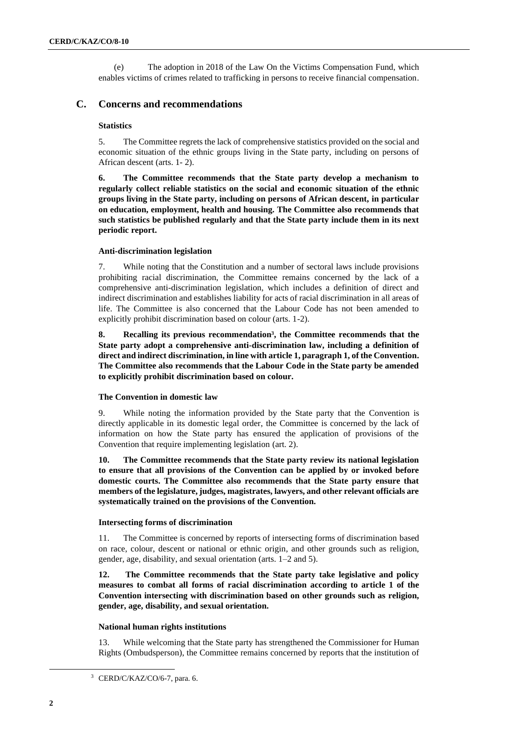(e) The adoption in 2018 of the Law On the Victims Compensation Fund, which enables victims of crimes related to trafficking in persons to receive financial compensation.

# **C. Concerns and recommendations**

# **Statistics**

5. The Committee regrets the lack of comprehensive statistics provided on the social and economic situation of the ethnic groups living in the State party, including on persons of African descent (arts. 1- 2).

**6. The Committee recommends that the State party develop a mechanism to regularly collect reliable statistics on the social and economic situation of the ethnic groups living in the State party, including on persons of African descent, in particular on education, employment, health and housing. The Committee also recommends that such statistics be published regularly and that the State party include them in its next periodic report.**

# **Anti-discrimination legislation**

7. While noting that the Constitution and a number of sectoral laws include provisions prohibiting racial discrimination, the Committee remains concerned by the lack of a comprehensive anti-discrimination legislation, which includes a definition of direct and indirect discrimination and establishes liability for acts of racial discrimination in all areas of life. The Committee is also concerned that the Labour Code has not been amended to explicitly prohibit discrimination based on colour (arts. 1-2).

**8. Recalling its previous recommendation<sup>3</sup> , the Committee recommends that the State party adopt a comprehensive anti-discrimination law, including a definition of direct and indirect discrimination, in line with article 1, paragraph 1, of the Convention. The Committee also recommends that the Labour Code in the State party be amended to explicitly prohibit discrimination based on colour.**

# **The Convention in domestic law**

9. While noting the information provided by the State party that the Convention is directly applicable in its domestic legal order, the Committee is concerned by the lack of information on how the State party has ensured the application of provisions of the Convention that require implementing legislation (art. 2).

**10. The Committee recommends that the State party review its national legislation to ensure that all provisions of the Convention can be applied by or invoked before domestic courts. The Committee also recommends that the State party ensure that members of the legislature, judges, magistrates, lawyers, and other relevant officials are systematically trained on the provisions of the Convention.** 

# **Intersecting forms of discrimination**

11. The Committee is concerned by reports of intersecting forms of discrimination based on race, colour, descent or national or ethnic origin, and other grounds such as religion, gender, age, disability, and sexual orientation (arts. 1–2 and 5).

**12. The Committee recommends that the State party take legislative and policy measures to combat all forms of racial discrimination according to article 1 of the Convention intersecting with discrimination based on other grounds such as religion, gender, age, disability, and sexual orientation.**

# **National human rights institutions**

13. While welcoming that the State party has strengthened the Commissioner for Human Rights (Ombudsperson), the Committee remains concerned by reports that the institution of

<sup>&</sup>lt;sup>3</sup> CERD/C/KAZ/CO/6-7, para. 6.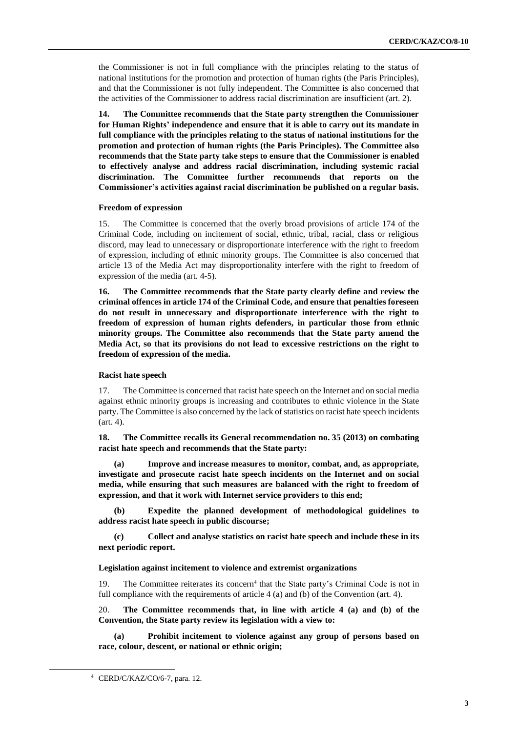the Commissioner is not in full compliance with the principles relating to the status of national institutions for the promotion and protection of human rights (the Paris Principles), and that the Commissioner is not fully independent. The Committee is also concerned that the activities of the Commissioner to address racial discrimination are insufficient (art. 2).

**14. The Committee recommends that the State party strengthen the Commissioner for Human Rights' independence and ensure that it is able to carry out its mandate in full compliance with the principles relating to the status of national institutions for the promotion and protection of human rights (the Paris Principles). The Committee also recommends that the State party take steps to ensure that the Commissioner is enabled to effectively analyse and address racial discrimination, including systemic racial discrimination. The Committee further recommends that reports on the Commissioner's activities against racial discrimination be published on a regular basis.**

#### **Freedom of expression**

15. The Committee is concerned that the overly broad provisions of article 174 of the Criminal Code, including on incitement of social, ethnic, tribal, racial, class or religious discord, may lead to unnecessary or disproportionate interference with the right to freedom of expression, including of ethnic minority groups. The Committee is also concerned that article 13 of the Media Act may disproportionality interfere with the right to freedom of expression of the media (art. 4-5).

**16. The Committee recommends that the State party clearly define and review the criminal offences in article 174 of the Criminal Code, and ensure that penalties foreseen do not result in unnecessary and disproportionate interference with the right to freedom of expression of human rights defenders, in particular those from ethnic minority groups. The Committee also recommends that the State party amend the Media Act, so that its provisions do not lead to excessive restrictions on the right to freedom of expression of the media.**

#### **Racist hate speech**

17. The Committee is concerned that racist hate speech on the Internet and on social media against ethnic minority groups is increasing and contributes to ethnic violence in the State party. The Committee is also concerned by the lack of statistics on racist hate speech incidents (art. 4).

**18. The Committee recalls its General recommendation no. 35 (2013) on combating racist hate speech and recommends that the State party:** 

**(a) Improve and increase measures to monitor, combat, and, as appropriate, investigate and prosecute racist hate speech incidents on the Internet and on social media, while ensuring that such measures are balanced with the right to freedom of expression, and that it work with Internet service providers to this end;**

**(b) Expedite the planned development of methodological guidelines to address racist hate speech in public discourse;**

**(c) Collect and analyse statistics on racist hate speech and include these in its next periodic report.**

#### **Legislation against incitement to violence and extremist organizations**

19. The Committee reiterates its concern<sup>4</sup> that the State party's Criminal Code is not in full compliance with the requirements of article 4 (a) and (b) of the Convention (art. 4).

20. **The Committee recommends that, in line with article 4 (a) and (b) of the Convention, the State party review its legislation with a view to:** 

**(a) Prohibit incitement to violence against any group of persons based on race, colour, descent, or national or ethnic origin;** 

<sup>4</sup> CERD/C/KAZ/CO/6-7, para. 12.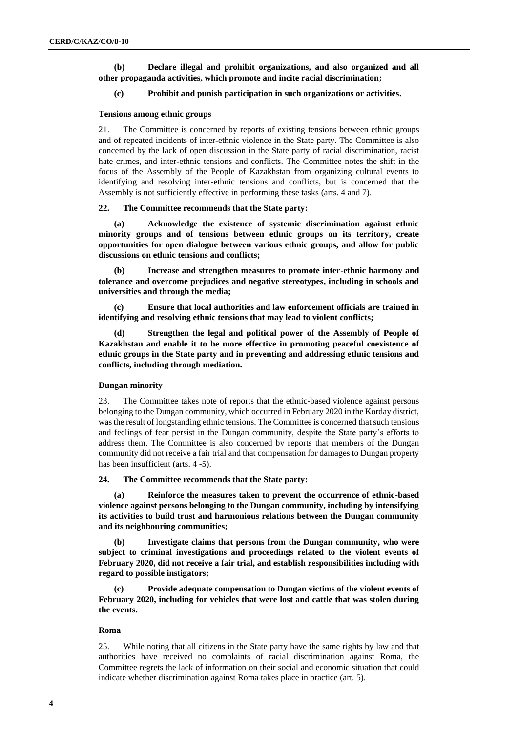**(b) Declare illegal and prohibit organizations, and also organized and all other propaganda activities, which promote and incite racial discrimination;**

#### **(c) Prohibit and punish participation in such organizations or activities.**

# **Tensions among ethnic groups**

21. The Committee is concerned by reports of existing tensions between ethnic groups and of repeated incidents of inter-ethnic violence in the State party. The Committee is also concerned by the lack of open discussion in the State party of racial discrimination, racist hate crimes, and inter-ethnic tensions and conflicts. The Committee notes the shift in the focus of the Assembly of the People of Kazakhstan from organizing cultural events to identifying and resolving inter-ethnic tensions and conflicts, but is concerned that the Assembly is not sufficiently effective in performing these tasks (arts. 4 and 7).

#### **22. The Committee recommends that the State party:**

**(a) Acknowledge the existence of systemic discrimination against ethnic minority groups and of tensions between ethnic groups on its territory, create opportunities for open dialogue between various ethnic groups, and allow for public discussions on ethnic tensions and conflicts;** 

**(b) Increase and strengthen measures to promote inter-ethnic harmony and tolerance and overcome prejudices and negative stereotypes, including in schools and universities and through the media;**

**(c) Ensure that local authorities and law enforcement officials are trained in identifying and resolving ethnic tensions that may lead to violent conflicts;**

**(d) Strengthen the legal and political power of the Assembly of People of Kazakhstan and enable it to be more effective in promoting peaceful coexistence of ethnic groups in the State party and in preventing and addressing ethnic tensions and conflicts, including through mediation.** 

### **Dungan minority**

23. The Committee takes note of reports that the ethnic-based violence against persons belonging to the Dungan community, which occurred in February 2020 in the Korday district, was the result of longstanding ethnic tensions. The Committee is concerned that such tensions and feelings of fear persist in the Dungan community, despite the State party's efforts to address them. The Committee is also concerned by reports that members of the Dungan community did not receive a fair trial and that compensation for damages to Dungan property has been insufficient (arts. 4 -5).

#### **24. The Committee recommends that the State party:**

**(a) Reinforce the measures taken to prevent the occurrence of ethnic-based violence against persons belonging to the Dungan community, including by intensifying its activities to build trust and harmonious relations between the Dungan community and its neighbouring communities;**

**(b) Investigate claims that persons from the Dungan community, who were subject to criminal investigations and proceedings related to the violent events of February 2020, did not receive a fair trial, and establish responsibilities including with regard to possible instigators;** 

**(c) Provide adequate compensation to Dungan victims of the violent events of February 2020, including for vehicles that were lost and cattle that was stolen during the events.**

#### **Roma**

25. While noting that all citizens in the State party have the same rights by law and that authorities have received no complaints of racial discrimination against Roma, the Committee regrets the lack of information on their social and economic situation that could indicate whether discrimination against Roma takes place in practice (art. 5).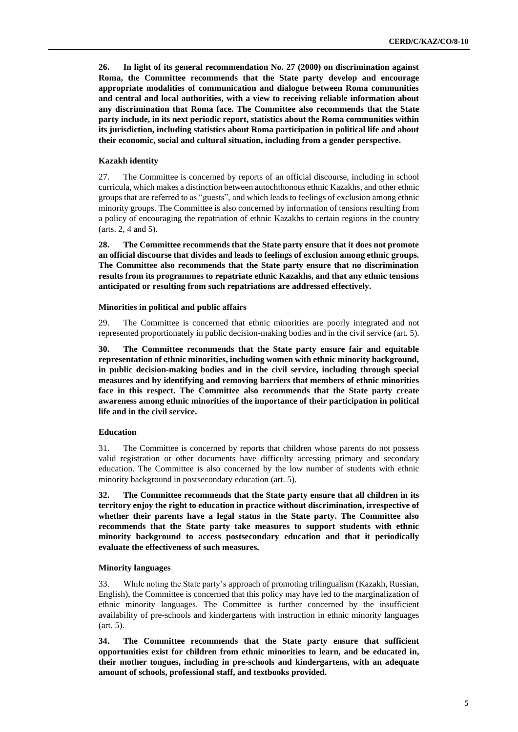**26. In light of its general recommendation No. 27 (2000) on discrimination against Roma, the Committee recommends that the State party develop and encourage appropriate modalities of communication and dialogue between Roma communities and central and local authorities, with a view to receiving reliable information about any discrimination that Roma face. The Committee also recommends that the State party include, in its next periodic report, statistics about the Roma communities within its jurisdiction, including statistics about Roma participation in political life and about their economic, social and cultural situation, including from a gender perspective.**

#### **Kazakh identity**

27. The Committee is concerned by reports of an official discourse, including in school curricula, which makes a distinction between autochthonous ethnic Kazakhs, and other ethnic groups that are referred to as "guests", and which leads to feelings of exclusion among ethnic minority groups. The Committee is also concerned by information of tensions resulting from a policy of encouraging the repatriation of ethnic Kazakhs to certain regions in the country (arts. 2, 4 and 5).

**28. The Committee recommends that the State party ensure that it does not promote an official discourse that divides and leads to feelings of exclusion among ethnic groups. The Committee also recommends that the State party ensure that no discrimination results from its programmes to repatriate ethnic Kazakhs, and that any ethnic tensions anticipated or resulting from such repatriations are addressed effectively.** 

#### **Minorities in political and public affairs**

29. The Committee is concerned that ethnic minorities are poorly integrated and not represented proportionately in public decision-making bodies and in the civil service (art. 5).

**30. The Committee recommends that the State party ensure fair and equitable representation of ethnic minorities, including women with ethnic minority background, in public decision-making bodies and in the civil service, including through special measures and by identifying and removing barriers that members of ethnic minorities face in this respect. The Committee also recommends that the State party create awareness among ethnic minorities of the importance of their participation in political life and in the civil service.**

#### **Education**

31. The Committee is concerned by reports that children whose parents do not possess valid registration or other documents have difficulty accessing primary and secondary education. The Committee is also concerned by the low number of students with ethnic minority background in postsecondary education (art. 5).

**32. The Committee recommends that the State party ensure that all children in its territory enjoy the right to education in practice without discrimination, irrespective of whether their parents have a legal status in the State party. The Committee also recommends that the State party take measures to support students with ethnic minority background to access postsecondary education and that it periodically evaluate the effectiveness of such measures.**

#### **Minority languages**

33. While noting the State party's approach of promoting trilingualism (Kazakh, Russian, English), the Committee is concerned that this policy may have led to the marginalization of ethnic minority languages. The Committee is further concerned by the insufficient availability of pre-schools and kindergartens with instruction in ethnic minority languages (art. 5).

**34. The Committee recommends that the State party ensure that sufficient opportunities exist for children from ethnic minorities to learn, and be educated in, their mother tongues, including in pre-schools and kindergartens, with an adequate amount of schools, professional staff, and textbooks provided.**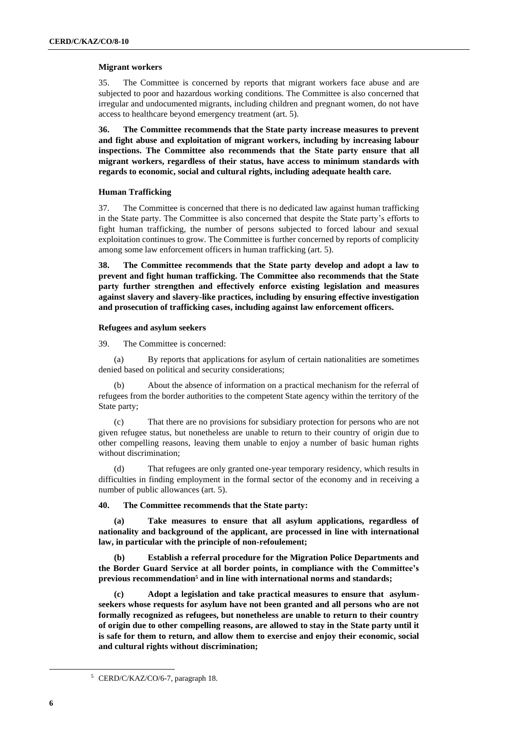# **Migrant workers**

35. The Committee is concerned by reports that migrant workers face abuse and are subjected to poor and hazardous working conditions. The Committee is also concerned that irregular and undocumented migrants, including children and pregnant women, do not have access to healthcare beyond emergency treatment (art. 5).

**36. The Committee recommends that the State party increase measures to prevent and fight abuse and exploitation of migrant workers, including by increasing labour inspections. The Committee also recommends that the State party ensure that all migrant workers, regardless of their status, have access to minimum standards with regards to economic, social and cultural rights, including adequate health care.**

### **Human Trafficking**

37. The Committee is concerned that there is no dedicated law against human trafficking in the State party. The Committee is also concerned that despite the State party's efforts to fight human trafficking, the number of persons subjected to forced labour and sexual exploitation continues to grow. The Committee is further concerned by reports of complicity among some law enforcement officers in human trafficking (art. 5).

**38. The Committee recommends that the State party develop and adopt a law to prevent and fight human trafficking. The Committee also recommends that the State party further strengthen and effectively enforce existing legislation and measures against slavery and slavery-like practices, including by ensuring effective investigation and prosecution of trafficking cases, including against law enforcement officers.**

#### **Refugees and asylum seekers**

39. The Committee is concerned:

(a) By reports that applications for asylum of certain nationalities are sometimes denied based on political and security considerations;

(b) About the absence of information on a practical mechanism for the referral of refugees from the border authorities to the competent State agency within the territory of the State party;

(c) That there are no provisions for subsidiary protection for persons who are not given refugee status, but nonetheless are unable to return to their country of origin due to other compelling reasons, leaving them unable to enjoy a number of basic human rights without discrimination;

(d) That refugees are only granted one-year temporary residency, which results in difficulties in finding employment in the formal sector of the economy and in receiving a number of public allowances (art. 5).

# **40. The Committee recommends that the State party:**

**(a) Take measures to ensure that all asylum applications, regardless of nationality and background of the applicant, are processed in line with international law, in particular with the principle of non-refoulement;**

**(b) Establish a referral procedure for the Migration Police Departments and the Border Guard Service at all border points, in compliance with the Committee's previous recommendation<sup>5</sup> and in line with international norms and standards;** 

**(c) Adopt a legislation and take practical measures to ensure that asylumseekers whose requests for asylum have not been granted and all persons who are not formally recognized as refugees, but nonetheless are unable to return to their country of origin due to other compelling reasons, are allowed to stay in the State party until it is safe for them to return, and allow them to exercise and enjoy their economic, social and cultural rights without discrimination;**

<sup>5</sup> CERD/C/KAZ/CO/6-7, paragraph 18.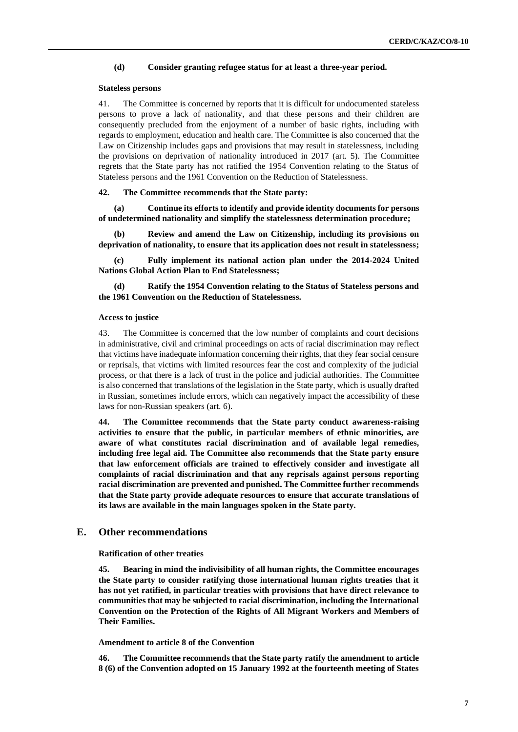#### **(d) Consider granting refugee status for at least a three-year period.**

#### **Stateless persons**

41. The Committee is concerned by reports that it is difficult for undocumented stateless persons to prove a lack of nationality, and that these persons and their children are consequently precluded from the enjoyment of a number of basic rights, including with regards to employment, education and health care. The Committee is also concerned that the Law on Citizenship includes gaps and provisions that may result in statelessness, including the provisions on deprivation of nationality introduced in 2017 (art. 5). The Committee regrets that the State party has not ratified the 1954 Convention relating to the Status of Stateless persons and the 1961 Convention on the Reduction of Statelessness.

#### **42. The Committee recommends that the State party:**

**(a) Continue its efforts to identify and provide identity documents for persons of undetermined nationality and simplify the statelessness determination procedure;**

**(b) Review and amend the Law on Citizenship, including its provisions on deprivation of nationality, to ensure that its application does not result in statelessness;**

**(c) Fully implement its national action plan under the 2014-2024 United Nations Global Action Plan to End Statelessness;**

**(d) Ratify the 1954 Convention relating to the Status of Stateless persons and the 1961 Convention on the Reduction of Statelessness.**

#### **Access to justice**

43. The Committee is concerned that the low number of complaints and court decisions in administrative, civil and criminal proceedings on acts of racial discrimination may reflect that victims have inadequate information concerning their rights, that they fear social censure or reprisals, that victims with limited resources fear the cost and complexity of the judicial process, or that there is a lack of trust in the police and judicial authorities. The Committee is also concerned that translations of the legislation in the State party, which is usually drafted in Russian, sometimes include errors, which can negatively impact the accessibility of these laws for non-Russian speakers (art. 6).

**44. The Committee recommends that the State party conduct awareness-raising activities to ensure that the public, in particular members of ethnic minorities, are aware of what constitutes racial discrimination and of available legal remedies, including free legal aid. The Committee also recommends that the State party ensure that law enforcement officials are trained to effectively consider and investigate all complaints of racial discrimination and that any reprisals against persons reporting racial discrimination are prevented and punished. The Committee further recommends that the State party provide adequate resources to ensure that accurate translations of its laws are available in the main languages spoken in the State party.** 

# **E. Other recommendations**

**Ratification of other treaties**

**45. Bearing in mind the indivisibility of all human rights, the Committee encourages the State party to consider ratifying those international human rights treaties that it has not yet ratified, in particular treaties with provisions that have direct relevance to communities that may be subjected to racial discrimination, including the International Convention on the Protection of the Rights of All Migrant Workers and Members of Their Families.** 

# **Amendment to article 8 of the Convention**

**46. The Committee recommends that the State party ratify the amendment to article 8 (6) of the Convention adopted on 15 January 1992 at the fourteenth meeting of States**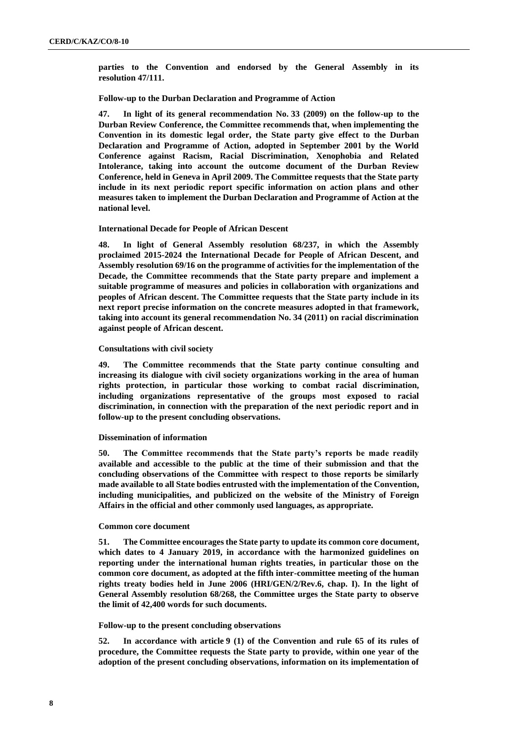**parties to the Convention and endorsed by the General Assembly in its resolution 47/111.** 

#### **Follow-up to the Durban Declaration and Programme of Action**

**47. In light of its general recommendation No. 33 (2009) on the follow-up to the Durban Review Conference, the Committee recommends that, when implementing the Convention in its domestic legal order, the State party give effect to the Durban Declaration and Programme of Action, adopted in September 2001 by the World Conference against Racism, Racial Discrimination, Xenophobia and Related Intolerance, taking into account the outcome document of the Durban Review Conference, held in Geneva in April 2009. The Committee requests that the State party include in its next periodic report specific information on action plans and other measures taken to implement the Durban Declaration and Programme of Action at the national level.** 

### **International Decade for People of African Descent**

**48. In light of General Assembly resolution 68/237, in which the Assembly proclaimed 2015-2024 the International Decade for People of African Descent, and Assembly resolution 69/16 on the programme of activities for the implementation of the Decade, the Committee recommends that the State party prepare and implement a suitable programme of measures and policies in collaboration with organizations and peoples of African descent. The Committee requests that the State party include in its next report precise information on the concrete measures adopted in that framework, taking into account its general recommendation No. 34 (2011) on racial discrimination against people of African descent.** 

### **Consultations with civil society**

**49. The Committee recommends that the State party continue consulting and increasing its dialogue with civil society organizations working in the area of human rights protection, in particular those working to combat racial discrimination, including organizations representative of the groups most exposed to racial discrimination, in connection with the preparation of the next periodic report and in follow-up to the present concluding observations.**

#### **Dissemination of information**

**50. The Committee recommends that the State party's reports be made readily available and accessible to the public at the time of their submission and that the concluding observations of the Committee with respect to those reports be similarly made available to all State bodies entrusted with the implementation of the Convention, including municipalities, and publicized on the website of the Ministry of Foreign Affairs in the official and other commonly used languages, as appropriate.**

#### **Common core document**

**51. The Committee encourages the State party to update its common core document, which dates to 4 January 2019, in accordance with the harmonized guidelines on reporting under the international human rights treaties, in particular those on the common core document, as adopted at the fifth inter-committee meeting of the human rights treaty bodies held in June 2006 (HRI/GEN/2/Rev.6, chap. I). In the light of General Assembly resolution 68/268, the Committee urges the State party to observe the limit of 42,400 words for such documents.**

#### **Follow-up to the present concluding observations**

**52. In accordance with article 9 (1) of the Convention and rule 65 of its rules of procedure, the Committee requests the State party to provide, within one year of the adoption of the present concluding observations, information on its implementation of**